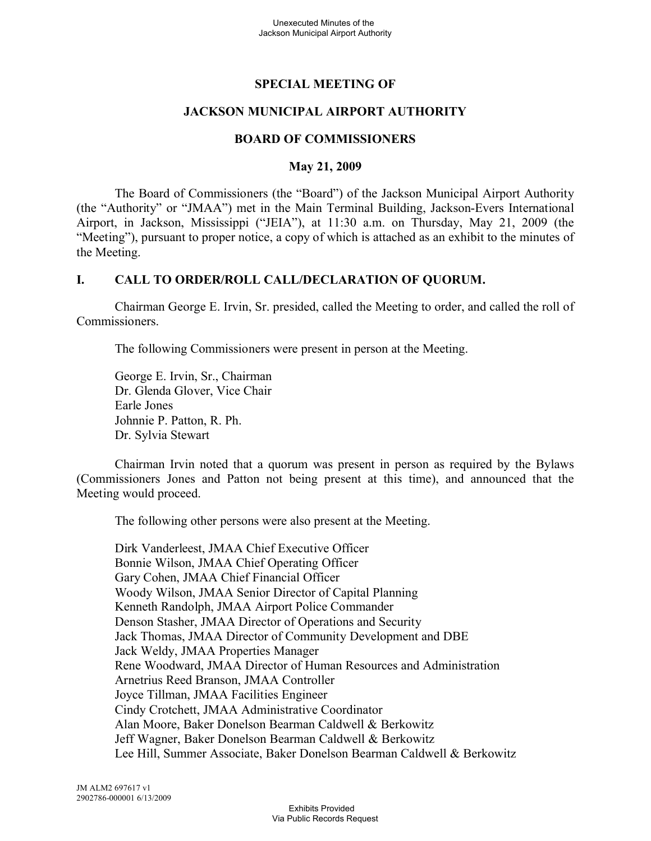# **SPECIAL MEETING OF**

## **JACKSON MUNICIPAL AIRPORT AUTHORITY**

## **BOARD OF COMMISSIONERS**

#### **May 21, 2009**

The Board of Commissioners (the "Board") of the Jackson Municipal Airport Authority (the "Authority" or "JMAA") met in the Main Terminal Building, Jackson-Evers International Airport, in Jackson, Mississippi ("JEIA"), at 11:30 a.m. on Thursday, May 21, 2009 (the "Meeting"), pursuant to proper notice, a copy of which is attached as an exhibit to the minutes of the Meeting.

## **I. CALL TO ORDER/ROLL CALL/DECLARATION OF QUORUM.**

Chairman George E. Irvin, Sr. presided, called the Meeting to order, and called the roll of Commissioners.

The following Commissioners were present in person at the Meeting.

George E. Irvin, Sr., Chairman Dr. Glenda Glover, Vice Chair Earle Jones Johnnie P. Patton, R. Ph. Dr. Sylvia Stewart

Chairman Irvin noted that a quorum was present in person as required by the Bylaws (Commissioners Jones and Patton not being present at this time), and announced that the Meeting would proceed.

The following other persons were also present at the Meeting.

Dirk Vanderleest, JMAA Chief Executive Officer Bonnie Wilson, JMAA Chief Operating Officer Gary Cohen, JMAA Chief Financial Officer Woody Wilson, JMAA Senior Director of Capital Planning Kenneth Randolph, JMAA Airport Police Commander Denson Stasher, JMAA Director of Operations and Security Jack Thomas, JMAA Director of Community Development and DBE Jack Weldy, JMAA Properties Manager Rene Woodward, JMAA Director of Human Resources and Administration Arnetrius Reed Branson, JMAA Controller Joyce Tillman, JMAA Facilities Engineer Cindy Crotchett, JMAA Administrative Coordinator Alan Moore, Baker Donelson Bearman Caldwell & Berkowitz Jeff Wagner, Baker Donelson Bearman Caldwell & Berkowitz Lee Hill, Summer Associate, Baker Donelson Bearman Caldwell & Berkowitz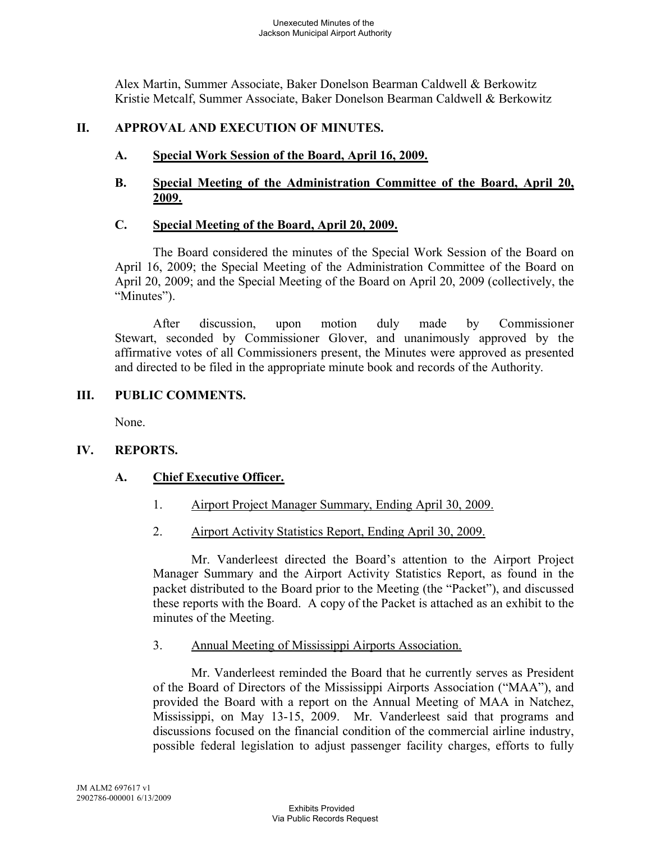Alex Martin, Summer Associate, Baker Donelson Bearman Caldwell & Berkowitz Kristie Metcalf, Summer Associate, Baker Donelson Bearman Caldwell & Berkowitz

#### **II. APPROVAL AND EXECUTION OF MINUTES.**

**A. Special Work Session of the Board, April 16, 2009.**

#### **B. Special Meeting of the Administration Committee of the Board, April 20, 2009.**

#### **C. Special Meeting of the Board, April 20, 2009.**

The Board considered the minutes of the Special Work Session of the Board on April 16, 2009; the Special Meeting of the Administration Committee of the Board on April 20, 2009; and the Special Meeting of the Board on April 20, 2009 (collectively, the "Minutes").

After discussion, upon motion duly made by Commissioner Stewart, seconded by Commissioner Glover, and unanimously approved by the affirmative votes of all Commissioners present, the Minutes were approved as presented and directed to be filed in the appropriate minute book and records of the Authority.

#### **III. PUBLIC COMMENTS.**

None.

## **IV. REPORTS.**

## **A. Chief Executive Officer.**

- 1. Airport Project Manager Summary, Ending April 30, 2009.
- 2. Airport Activity Statistics Report, Ending April 30, 2009.

Mr. Vanderleest directed the Board's attention to the Airport Project Manager Summary and the Airport Activity Statistics Report, as found in the packet distributed to the Board prior to the Meeting (the "Packet"), and discussed these reports with the Board. A copy of the Packet is attached as an exhibit to the minutes of the Meeting.

3. Annual Meeting of Mississippi Airports Association.

Mr. Vanderleest reminded the Board that he currently serves as President of the Board of Directors of the Mississippi Airports Association ("MAA"), and provided the Board with a report on the Annual Meeting of MAA in Natchez, Mississippi, on May 13-15, 2009. Mr. Vanderleest said that programs and discussions focused on the financial condition of the commercial airline industry, possible federal legislation to adjust passenger facility charges, efforts to fully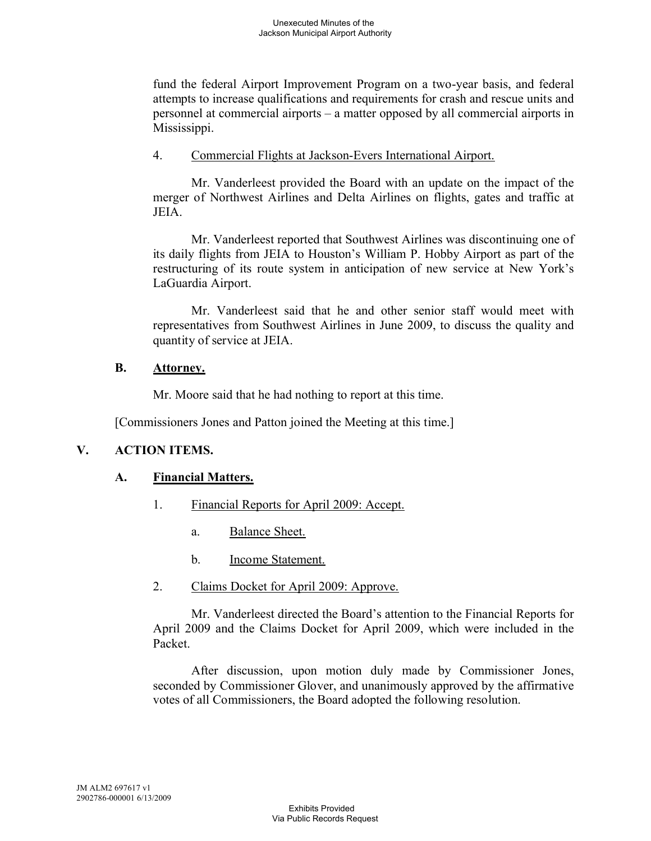fund the federal Airport Improvement Program on a two-year basis, and federal attempts to increase qualifications and requirements for crash and rescue units and personnel at commercial airports – a matter opposed by all commercial airports in Mississippi.

4. Commercial Flights at Jackson-Evers International Airport.

Mr. Vanderleest provided the Board with an update on the impact of the merger of Northwest Airlines and Delta Airlines on flights, gates and traffic at JEIA.

Mr. Vanderleest reported that Southwest Airlines was discontinuing one of its daily flights from JEIA to Houston's William P. Hobby Airport as part of the restructuring of its route system in anticipation of new service at New York's LaGuardia Airport.

Mr. Vanderleest said that he and other senior staff would meet with representatives from Southwest Airlines in June 2009, to discuss the quality and quantity of service at JEIA.

## **B. Attorney.**

Mr. Moore said that he had nothing to report at this time.

[Commissioners Jones and Patton joined the Meeting at this time.]

## **V. ACTION ITEMS.**

## **A. Financial Matters.**

- 1. Financial Reports for April 2009: Accept.
	- a. Balance Sheet.
	- b. Income Statement.
- 2. Claims Docket for April 2009: Approve.

Mr. Vanderleest directed the Board's attention to the Financial Reports for April 2009 and the Claims Docket for April 2009, which were included in the Packet.

After discussion, upon motion duly made by Commissioner Jones, seconded by Commissioner Glover, and unanimously approved by the affirmative votes of all Commissioners, the Board adopted the following resolution.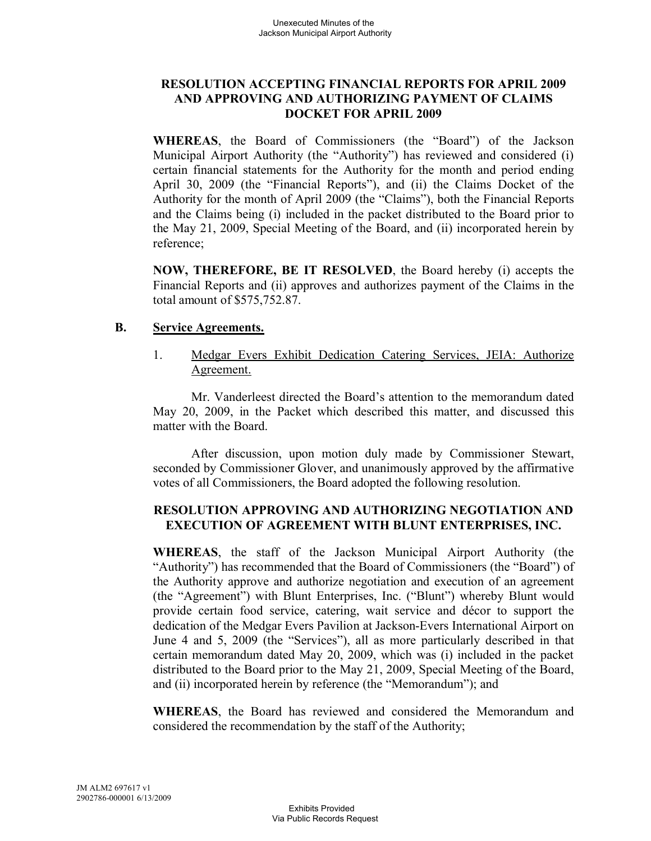## **RESOLUTION ACCEPTING FINANCIAL REPORTS FOR APRIL 2009 AND APPROVING AND AUTHORIZING PAYMENT OF CLAIMS DOCKET FOR APRIL 2009**

**WHEREAS**, the Board of Commissioners (the "Board") of the Jackson Municipal Airport Authority (the "Authority") has reviewed and considered (i) certain financial statements for the Authority for the month and period ending April 30, 2009 (the "Financial Reports"), and (ii) the Claims Docket of the Authority for the month of April 2009 (the "Claims"), both the Financial Reports and the Claims being (i) included in the packet distributed to the Board prior to the May 21, 2009, Special Meeting of the Board, and (ii) incorporated herein by reference;

**NOW, THEREFORE, BE IT RESOLVED**, the Board hereby (i) accepts the Financial Reports and (ii) approves and authorizes payment of the Claims in the total amount of \$575,752.87.

#### **B. Service Agreements.**

1. Medgar Evers Exhibit Dedication Catering Services, JEIA: Authorize Agreement.

Mr. Vanderleest directed the Board's attention to the memorandum dated May 20, 2009, in the Packet which described this matter, and discussed this matter with the Board.

After discussion, upon motion duly made by Commissioner Stewart, seconded by Commissioner Glover, and unanimously approved by the affirmative votes of all Commissioners, the Board adopted the following resolution.

## **RESOLUTION APPROVING AND AUTHORIZING NEGOTIATION AND EXECUTION OF AGREEMENT WITH BLUNT ENTERPRISES, INC.**

**WHEREAS**, the staff of the Jackson Municipal Airport Authority (the "Authority") has recommended that the Board of Commissioners (the "Board") of the Authority approve and authorize negotiation and execution of an agreement (the "Agreement") with Blunt Enterprises, Inc. ("Blunt") whereby Blunt would provide certain food service, catering, wait service and décor to support the dedication of the Medgar Evers Pavilion at Jackson-Evers International Airport on June 4 and 5, 2009 (the "Services"), all as more particularly described in that certain memorandum dated May 20, 2009, which was (i) included in the packet distributed to the Board prior to the May 21, 2009, Special Meeting of the Board, and (ii) incorporated herein by reference (the "Memorandum"); and

**WHEREAS**, the Board has reviewed and considered the Memorandum and considered the recommendation by the staff of the Authority;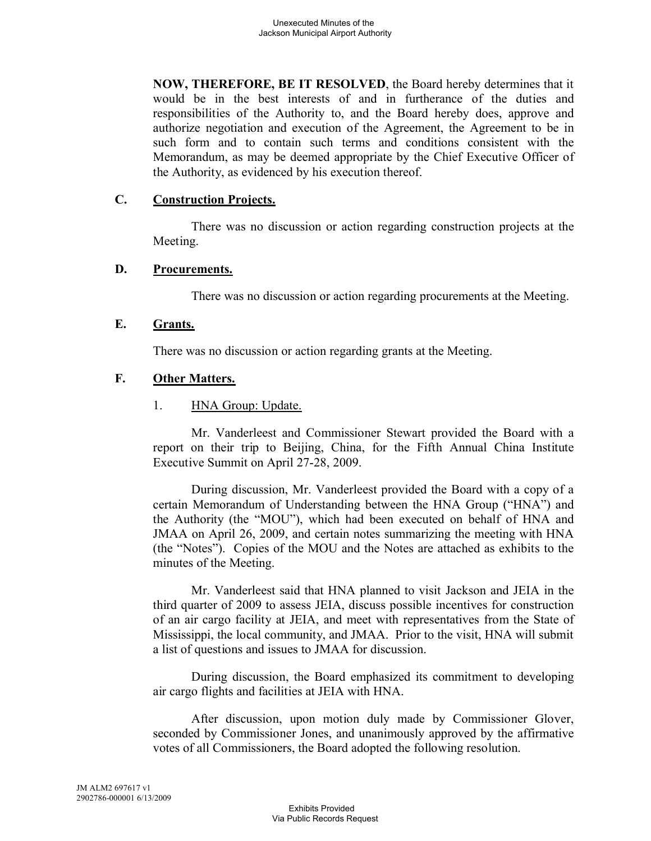**NOW, THEREFORE, BE IT RESOLVED**, the Board hereby determines that it would be in the best interests of and in furtherance of the duties and responsibilities of the Authority to, and the Board hereby does, approve and authorize negotiation and execution of the Agreement, the Agreement to be in such form and to contain such terms and conditions consistent with the Memorandum, as may be deemed appropriate by the Chief Executive Officer of the Authority, as evidenced by his execution thereof.

## **C. Construction Projects.**

There was no discussion or action regarding construction projects at the Meeting.

## **D. Procurements.**

There was no discussion or action regarding procurements at the Meeting.

# **E. Grants.**

There was no discussion or action regarding grants at the Meeting.

# **F. Other Matters.**

1. **HNA Group: Update.** 

Mr. Vanderleest and Commissioner Stewart provided the Board with a report on their trip to Beijing, China, for the Fifth Annual China Institute Executive Summit on April 27-28, 2009.

During discussion, Mr. Vanderleest provided the Board with a copy of a certain Memorandum of Understanding between the HNA Group ("HNA") and the Authority (the "MOU"), which had been executed on behalf of HNA and JMAA on April 26, 2009, and certain notes summarizing the meeting with HNA (the "Notes"). Copies of the MOU and the Notes are attached as exhibits to the minutes of the Meeting.

Mr. Vanderleest said that HNA planned to visit Jackson and JEIA in the third quarter of 2009 to assess JEIA, discuss possible incentives for construction of an air cargo facility at JEIA, and meet with representatives from the State of Mississippi, the local community, and JMAA. Prior to the visit, HNA will submit a list of questions and issues to JMAA for discussion.

During discussion, the Board emphasized its commitment to developing air cargo flights and facilities at JEIA with HNA.

After discussion, upon motion duly made by Commissioner Glover, seconded by Commissioner Jones, and unanimously approved by the affirmative votes of all Commissioners, the Board adopted the following resolution.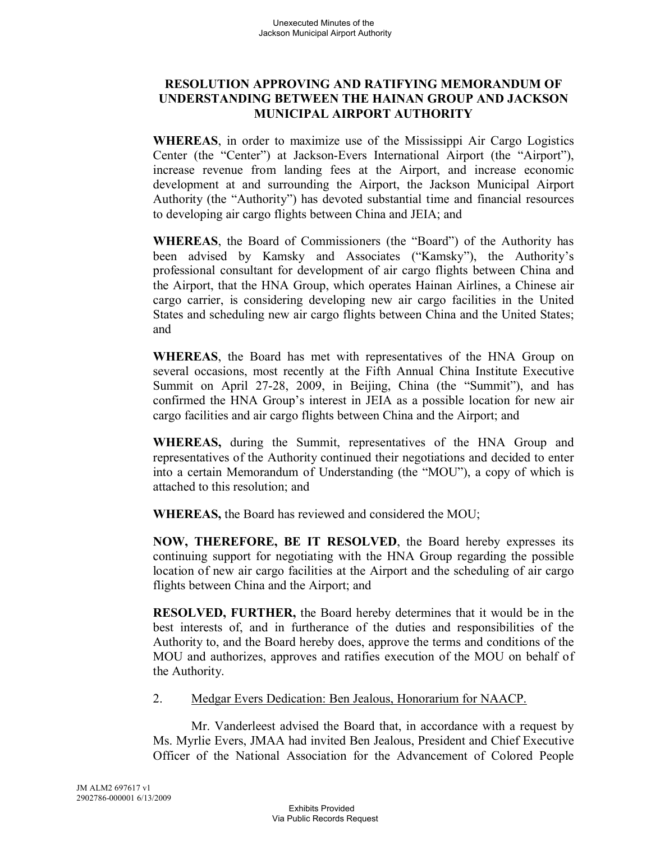## **RESOLUTION APPROVING AND RATIFYING MEMORANDUM OF UNDERSTANDING BETWEEN THE HAINAN GROUP AND JACKSON MUNICIPAL AIRPORT AUTHORITY**

**WHEREAS**, in order to maximize use of the Mississippi Air Cargo Logistics Center (the "Center") at Jackson-Evers International Airport (the "Airport"), increase revenue from landing fees at the Airport, and increase economic development at and surrounding the Airport, the Jackson Municipal Airport Authority (the "Authority") has devoted substantial time and financial resources to developing air cargo flights between China and JEIA; and

**WHEREAS**, the Board of Commissioners (the "Board") of the Authority has been advised by Kamsky and Associates ("Kamsky"), the Authority's professional consultant for development of air cargo flights between China and the Airport, that the HNA Group, which operates Hainan Airlines, a Chinese air cargo carrier, is considering developing new air cargo facilities in the United States and scheduling new air cargo flights between China and the United States; and

**WHEREAS**, the Board has met with representatives of the HNA Group on several occasions, most recently at the Fifth Annual China Institute Executive Summit on April 27-28, 2009, in Beijing, China (the "Summit"), and has confirmed the HNA Group's interest in JEIA as a possible location for new air cargo facilities and air cargo flights between China and the Airport; and

**WHEREAS,** during the Summit, representatives of the HNA Group and representatives of the Authority continued their negotiations and decided to enter into a certain Memorandum of Understanding (the "MOU"), a copy of which is attached to this resolution; and

**WHEREAS,** the Board has reviewed and considered the MOU;

**NOW, THEREFORE, BE IT RESOLVED**, the Board hereby expresses its continuing support for negotiating with the HNA Group regarding the possible location of new air cargo facilities at the Airport and the scheduling of air cargo flights between China and the Airport; and

**RESOLVED, FURTHER,** the Board hereby determines that it would be in the best interests of, and in furtherance of the duties and responsibilities of the Authority to, and the Board hereby does, approve the terms and conditions of the MOU and authorizes, approves and ratifies execution of the MOU on behalf of the Authority.

2. Medgar Evers Dedication: Ben Jealous, Honorarium for NAACP.

Mr. Vanderleest advised the Board that, in accordance with a request by Ms. Myrlie Evers, JMAA had invited Ben Jealous, President and Chief Executive Officer of the National Association for the Advancement of Colored People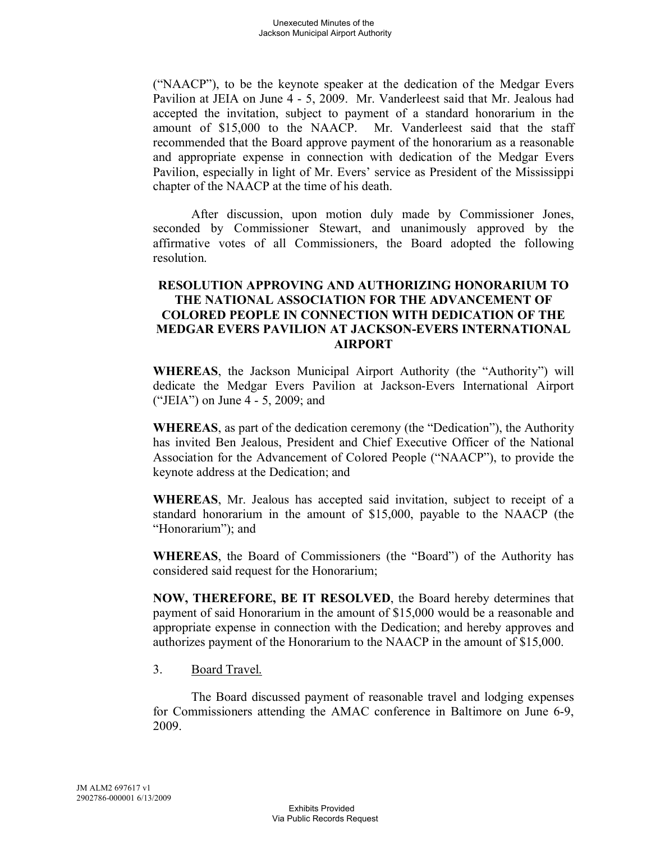("NAACP"), to be the keynote speaker at the dedication of the Medgar Evers Pavilion at JEIA on June 4 - 5, 2009. Mr. Vanderleest said that Mr. Jealous had accepted the invitation, subject to payment of a standard honorarium in the amount of \$15,000 to the NAACP. Mr. Vanderleest said that the staff recommended that the Board approve payment of the honorarium as a reasonable and appropriate expense in connection with dedication of the Medgar Evers Pavilion, especially in light of Mr. Evers' service as President of the Mississippi chapter of the NAACP at the time of his death.

After discussion, upon motion duly made by Commissioner Jones, seconded by Commissioner Stewart, and unanimously approved by the affirmative votes of all Commissioners, the Board adopted the following resolution.

## **RESOLUTION APPROVING AND AUTHORIZING HONORARIUM TO THE NATIONAL ASSOCIATION FOR THE ADVANCEMENT OF COLORED PEOPLE IN CONNECTION WITH DEDICATION OF THE MEDGAR EVERS PAVILION AT JACKSON-EVERS INTERNATIONAL AIRPORT**

**WHEREAS**, the Jackson Municipal Airport Authority (the "Authority") will dedicate the Medgar Evers Pavilion at Jackson-Evers International Airport ("JEIA") on June 4 - 5, 2009; and

**WHEREAS**, as part of the dedication ceremony (the "Dedication"), the Authority has invited Ben Jealous, President and Chief Executive Officer of the National Association for the Advancement of Colored People ("NAACP"), to provide the keynote address at the Dedication; and

**WHEREAS**, Mr. Jealous has accepted said invitation, subject to receipt of a standard honorarium in the amount of \$15,000, payable to the NAACP (the "Honorarium"); and

**WHEREAS**, the Board of Commissioners (the "Board") of the Authority has considered said request for the Honorarium;

**NOW, THEREFORE, BE IT RESOLVED**, the Board hereby determines that payment of said Honorarium in the amount of \$15,000 would be a reasonable and appropriate expense in connection with the Dedication; and hereby approves and authorizes payment of the Honorarium to the NAACP in the amount of \$15,000.

3. Board Travel.

The Board discussed payment of reasonable travel and lodging expenses for Commissioners attending the AMAC conference in Baltimore on June 6-9, 2009.